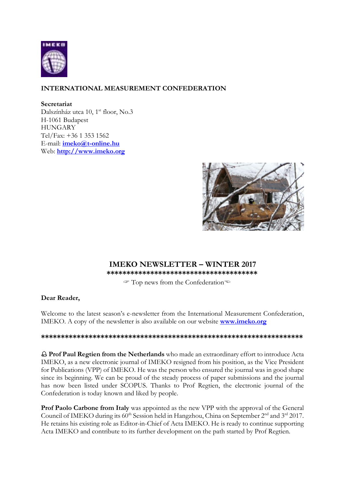

## **INTERNATIONAL MEASUREMENT CONFEDERATION**

#### **Secretariat**

Dalszínház utca 10, 1<sup>st</sup> floor, No.3 H-1061 Budapest HUNGARY Tel/Fax: +36 1 353 1562 E-mail: **[imeko@t-online.hu](mailto:imeko@t-online.hu)** Web: **[http://www.imeko.org](http://www.imeko.org/)**



# **IMEKO NEWSLETTER – WINTER 2017**

 **\*\*\*\*\*\*\*\*\*\*\*\*\*\*\*\*\*\*\*\*\*\*\*\*\*\*\*\*\*\*\*\*\*\*\*\*\*\***

 $\mathcal{F}$  Top news from the Confederation

**Dear Reader,**

Welcome to the latest season's e-newsletter from the International Measurement Confederation, IMEKO. A copy of the newsletter is also available on our website **[www.imeko.org](http://www.imeko.orgg/)**

#### **\*\*\*\*\*\*\*\*\*\*\*\*\*\*\*\*\*\*\*\*\*\*\*\*\*\*\*\*\*\*\*\*\*\*\*\*\*\*\*\*\*\*\*\*\*\*\*\*\*\*\*\*\*\*\*\*\*\*\*\*\*\*\*\*\*\***

 **Prof Paul Regtien from the Netherlands** who made an extraordinary effort to introduce Acta IMEKO, as a new electronic journal of IMEKO resigned from his position, as the Vice President for Publications (VPP) of IMEKO. He was the person who ensured the journal was in good shape since its beginning. We can be proud of the steady process of paper submissions and the journal has now been listed under SCOPUS. Thanks to Prof Regtien, the electronic journal of the Confederation is today known and liked by people.

**Prof Paolo Carbone from Italy** was appointed as the new VPP with the approval of the General Council of IMEKO during its 60<sup>th</sup> Session held in Hangzhou, China on September 2<sup>nd</sup> and 3<sup>rd</sup> 2017. He retains his existing role as Editor-in-Chief of Acta IMEKO. He is ready to continue supporting Acta IMEKO and contribute to its further development on the path started by Prof Regtien.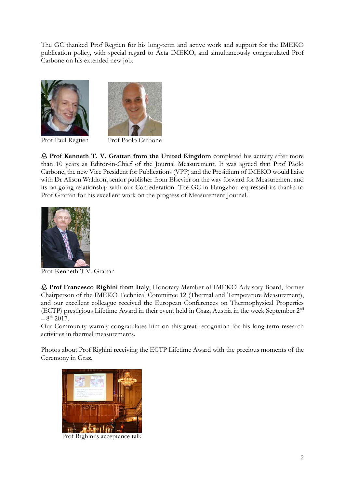The GC thanked Prof Regtien for his long-term and active work and support for the IMEKO publication policy, with special regard to Acta IMEKO, and simultaneously congratulated Prof Carbone on his extended new job.





Prof Paul Regtien Prof Paolo Carbone

 **Prof Kenneth T. V. Grattan from the United Kingdom** completed his activity after more than 10 years as Editor-in-Chief of the Journal Measurement. It was agreed that Prof Paolo Carbone, the new Vice President for Publications (VPP) and the Presidium of IMEKO would liaise with Dr Alison Waldron, senior publisher from Elsevier on the way forward for Measurement and its on-going relationship with our Confederation. The GC in Hangzhou expressed its thanks to Prof Grattan for his excellent work on the progress of Measurement Journal.



Prof Kenneth T.V. Grattan

 **Prof Francesco Righini from Italy**, Honorary Member of IMEKO Advisory Board, former Chairperson of the IMEKO Technical Committee 12 (Thermal and Temperature Measurement), and our excellent colleague received the European Conferences on Thermophysical Properties (ECTP) prestigious Lifetime Award in their event held in Graz, Austria in the week September 2nd  $-8^{\text{th}}$  2017.

Our Community warmly congratulates him on this great recognition for his long-term research activities in thermal measurements.

Photos about Prof Righini receiving the ECTP Lifetime Award with the precious moments of the Ceremony in Graz.



Prof Righini's acceptance talk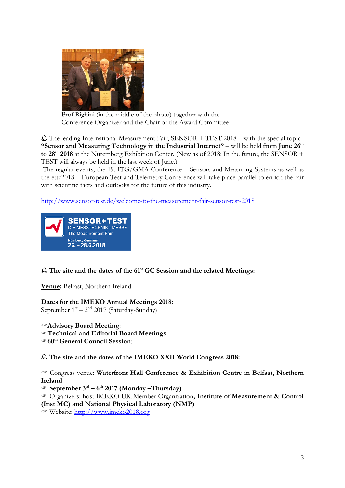

Prof Righini (in the middle of the photo) together with the Conference Organizer and the Chair of the Award Committee

 The leading International Measurement Fair, SENSOR + TEST 2018 – with the special topic **"Sensor and Measuring Technology in the Industrial Internet"** – will be held **from June 26th to 28th 2018** at the Nuremberg Exhibition Center. (New as of 2018: In the future, the SENSOR + TEST will always be held in the last week of June.)

The regular events, the 19. ITG/GMA Conference – Sensors and Measuring Systems as well as the ettc2018 – European Test and Telemetry Conference will take place parallel to enrich the fair with scientific facts and outlooks for the future of this industry.

<http://www.sensor-test.de/welcome-to-the-measurement-fair-sensor-test-2018>



# **The site and the dates of the 61 st GC Session and the related Meetings:**

**Venue:** Belfast, Northern Ireland

### **Dates for the IMEKO Annual Meetings 2018:**

September  $1^{st} - 2^{nd}$  2017 (Saturday-Sunday)

- **Advisory Board Meeting**:
- **Technical and Editorial Board Meetings**:
- **60th General Council Session**:

**The site and the dates of the IMEKO XXII World Congress 2018:**

 Congress venue: **Waterfront Hall Conference & Exhibition Centre in Belfast, Northern Ireland**

**September 3rd – 6 th 2017 (Monday –Thursday)**

Organizers: host IMEKO UK Member Organization**, Institute of Measurement & Control** 

**(Inst MC) and National Physical Laboratory (NMP)**

Website: [http://www.imeko2018.org](http://www.imeko2018.org/)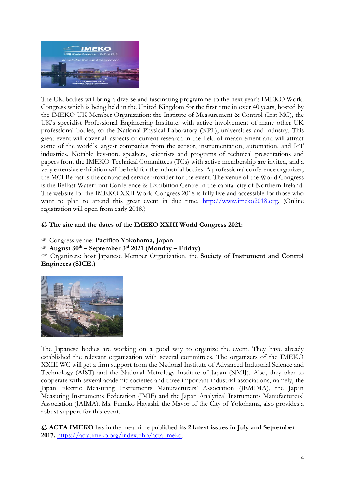

The UK bodies will bring a diverse and fascinating programme to the next year's IMEKO World Congress which is being held in the United Kingdom for the first time in over 40 years, hosted by the IMEKO UK Member Organization: the Institute of Measurement & Control (Inst MC), the UK's specialist Professional Engineering Institute, with active involvement of many other UK professional bodies, so the National Physical Laboratory (NPL), universities and industry. This great event will cover all aspects of current research in the field of measurement and will attract some of the world's largest companies from the sensor, instrumentation, automation, and IoT industries. Notable key-note speakers, scientists and programs of technical presentations and papers from the IMEKO Technical Committees (TCs) with active membership are invited, and a very extensive exhibition will be held for the industrial bodies. A professional conference organizer, the MCI Belfast is the contracted service provider for the event. The venue of the World Congress is the Belfast Waterfront Conference & Exhibition Centre in the capital city of Northern Ireland. The website for the IMEKO XXII World Congress 2018 is fully live and accessible for those who want to plan to attend this great event in due time. [http://www.imeko2018.org.](http://www.imeko2018.org/) (Online registration will open from early 2018.)

## **The site and the dates of the IMEKO XXIII World Congress 2021:**

Congress venue: **Pacifico Yokohama, Japan**

**August 30th – September 3rd 2021 (Monday – Friday)**

 Organizers: host Japanese Member Organization, the **Society of Instrument and Control Engineers (SICE.)**



The Japanese bodies are working on a good way to organize the event. They have already established the relevant organization with several committees. The organizers of the IMEKO XXIII WC will get a firm support from the National Institute of Advanced Industrial Science and Technology (AIST) and the National Metrology Institute of Japan (NMIJ). Also, they plan to cooperate with several academic societies and three important industrial associations, namely, the Japan Electric Measuring Instruments Manufacturers' Association (JEMIMA), the Japan Measuring Instruments Federation (JMIF) and the Japan Analytical Instruments Manufacturers' Association (JAIMA). Ms. Fumiko Hayashi, the Mayor of the City of Yokohama, also provides a robust support for this event.

 **ACTA IMEKO** has in the meantime published **its 2 latest issues in July and September 2017.** [https://acta.imeko.org/index.php/acta-imeko.](https://acta.imeko.org/index.php/acta-imeko)